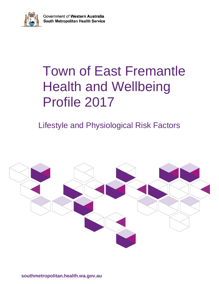

# Town of East Fremantle Health and Wellbeing Profile 2017

# Lifestyle and Physiological Risk Factors

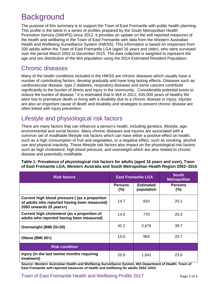# **Background**

The purpose of this summary is to support the Town of East Fremantle with public health planning. This profile is the latest in a series of profiles prepared by the South Metropolitan Health Promotion Service (SMHPS) since 2012. It provides an update on the self-reported measures of the health and wellbeing in the Town of East Fremantle with data from the Western Australian Health and Wellbeing Surveillance System (HWSS). This information is based on responses from 200 adults within the Town of East Fremantle LGA (aged 16 years and older), who were surveyed over the period March 2002 to December 2015. The data collected is weighted to represent the age and sex distribution of the WA population using the 2014 Estimated Resident Population.

### Chronic diseases

Many of the health conditions included in the HWSS are chronic diseases which usually have a number of contributing factors, develop gradually and have long lasting effects. Diseases such as cardiovascular disease, type 2 diabetes, respiratory diseases and some cancers contribute significantly to the burden of illness and injury in the community. Considerable potential exists to reduce the burden of disease.<sup>1</sup> It is estimated that in WA in 2011, 435,000 years of healthy life were lost to premature death or living with a disability due to a chronic disease or injury. Injuries are also an important cause of death and disability and strategies to prevent chronic disease are often linked with injury prevention.

### Lifestyle and physiological risk factors

There are many factors that can influence a person's health, including genetics, lifestyle, age, environmental and social factors. Many chronic diseases and injuries are associated with a common set of modifiable lifestyle risk factors which can have either a positive effect on health, such as a high consumption of fruit and vegetables, or a negative effect, such as smoking, alcohol use and physical inactivity. These lifestyle risk factors also impact on the physiological risk factors such as high cholesterol, high blood pressure, and overweight which are also related to chronic disease and potentially modifiable.

| <b>Risk factors</b>                                                                                                       |                           | <b>East Fremantle LGA</b>      | <b>South</b><br><b>Metropolitan</b> |
|---------------------------------------------------------------------------------------------------------------------------|---------------------------|--------------------------------|-------------------------------------|
|                                                                                                                           | <b>Persons</b><br>$(\% )$ | <b>Estimated</b><br>population | <b>Persons</b><br>$(\% )$           |
| Current high blood pressure ( (as a proportion<br>of adults who reported having been measured)<br>2003 onwards 25 years+) | 14.7                      | 810                            | 20.1                                |
| Current high cholesterol (as a proportion of<br>adults who reported having been measured)                                 | 14.0                      | 770                            | 20.3                                |
| Overweight (BMI 25<30)                                                                                                    | 42.2                      | 2,676                          | 39.7                                |
| Obese (BMI 30+)                                                                                                           | 15.0                      | 954                            | 25.7                                |
| <b>Risk condition</b>                                                                                                     |                           |                                |                                     |
| Injury (in the last twelve months requiring<br>treatment)                                                                 | 25.9                      | 1,641                          | 23.0                                |

#### **Table 1: Prevalence of physiological risk factors for adults (aged 16 years and over), Town of East Fremantle LGA, Western Australia and South Metropolitan Health Region 2002–2015**

**Source: Western Australian Health and Wellbeing Surveillance System, WA Department of Health: Town of East Fremantle self-reported measures of health and wellbeing for adults 2002–2015.**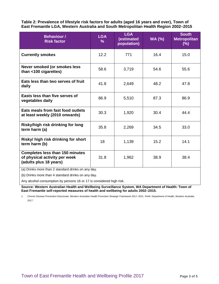**Table 2: Prevalence of lifestyle risk factors for adults (aged 16 years and over), Town of East Fremantle LGA, Western Australia and South Metropolitan Health Region 2002–2015** 

| <b>Behaviour /</b><br><b>Risk factor</b>                                                          | <b>LGA</b><br>℅ | <b>LGA</b><br>(estimated<br>population) | <b>WA (%)</b> | <b>South</b><br><b>Metropolitan</b><br>$(\%)$ |
|---------------------------------------------------------------------------------------------------|-----------------|-----------------------------------------|---------------|-----------------------------------------------|
| <b>Currently smokes</b>                                                                           | 12.2            | 771                                     | 16.4          | 15.0                                          |
| Never smoked (or smokes less<br>than <100 cigarettes)                                             | 58.6            | 3,719                                   | 54.6          | 55.6                                          |
| Eats less than two serves of fruit<br>daily                                                       | 41.8            | 2,649                                   | 48.2          | 47.8                                          |
| Easts less than five serves of<br>vegetables daily                                                | 86.9            | 5,510                                   | 87.3          | 86.9                                          |
| Eats meals from fast food outlets<br>at least weekly (2010 onwards)                               | 30.3            | 1,920                                   | 30.4          | 44.4                                          |
| Risky/high risk drinking for long<br>term harm (a)                                                | 35.8            | 2,269                                   | 34.5          | 33.0                                          |
| Risky/ high risk drinking for short<br>term harm (b)                                              | 18              | 1,139                                   | 15.2          | 14.1                                          |
| <b>Completes less than 150 minutes</b><br>of physical activity per week<br>(adults plus 18 years) | 31.8            | 1,962                                   | 38.9          | 38.4                                          |

(a) Drinks more than 2 standard drinks on any day.

(b) Drinks more than 4 standard drinks on any day.

Any alcohol consumption by persons 16 or 17 is considered high risk.

**Source: Western Australian Health and Wellbeing Surveillance System, WA Department of Health: Town of East Fremantle self-reported measures of health and wellbeing for adults 2002–2015.** 

1. Chronic Disease Prevention Directorate. Western Australian Health Promotion Strategic Framework 2017–2021. Perth: Department of Health, Western Australia; 2017.'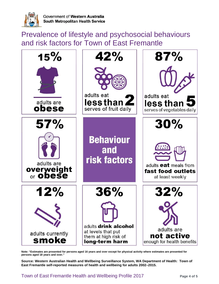

Prevalence of lifestyle and psychosocial behaviours and risk factors for Town of East Fremantle



**Note: "Estimates are presented for persons aged 16 years and over except for physical activity where estimates are presented for persons aged 18 years and over."** 

**Source: Western Australian Health and Wellbeing Surveillance System, WA Department of Health: Town of East Fremantle self-reported measures of health and wellbeing for adults 2002–2015.**

Town of East Fremantle Health and Wellbeing Profile 2017 **Page 4 of 5**